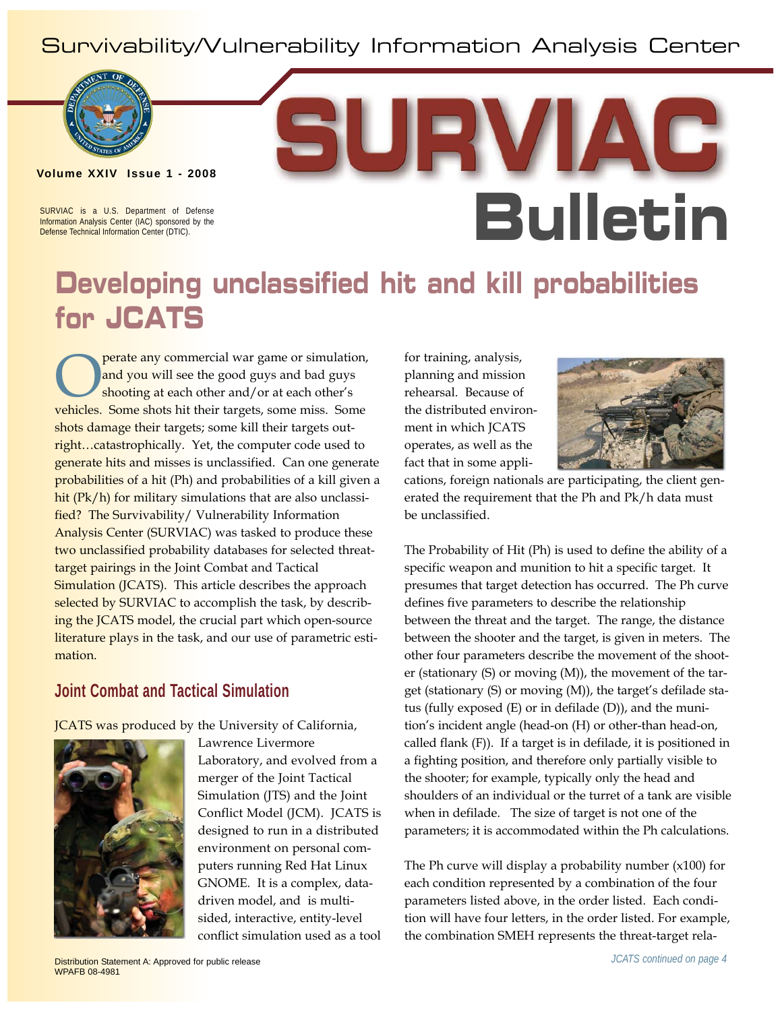### Survivability/Vulnerability Information Analysis Center



**Volume XXIV Issue 1 - 2008**

SURVIAC is a U.S. Department of Defense Information Analysis Center (IAC) sponsored by the Defense Technical Information Center (DTIC).

# **Bulletin**

### **Developing unclassified hit and kill probabilities for JCATS**

perate any commercial war game or simulation, and you will see the good guys and bad guys shooting at each other and/or at each other's vehicles. Some shots hit their targets, some miss. Some shots damage their targets; some kill their targets outright...catastrophically. Yet, the computer code used to generate hits and misses is unclassified. Can one generate probabilities of a hit (Ph) and probabilities of a kill given a hit (Pk/h) for military simulations that are also unclassified? The Survivability/ Vulnerability Information Analysis Center (SURVIAC) was tasked to produce these two unclassified probability databases for selected threattarget pairings in the Joint Combat and Tactical **Simulation (JCATS).** This article describes the approach selected by SURVIAC to accomplish the task, by describing the JCATS model, the crucial part which open-source literature plays in the task, and our use of parametric estimation.

### **Joint Combat and Tactical Simulation**

JCATS was produced by the University of California,



Lawrence Livermore Laboratory, and evolved from a merger of the Joint Tactical Simulation (JTS) and the Joint Conflict Model (JCM). JCATS is designed to run in a distributed environment on personal computers running Red Hat Linux GNOME. It is a complex, datadriven model, and is multisided, interactive, entity-level conflict simulation used as a tool for training, analysis, planning and mission rehearsal. Because of the distributed environment in which JCATS operates, as well as the fact that in some appli-



cations, foreign nationals are participating, the client generated the requirement that the Ph and Pk/h data must be unclassified.

The Probability of Hit (Ph) is used to define the ability of a specific weapon and munition to hit a specific target. It presumes that target detection has occurred. The Ph curve defines five parameters to describe the relationship between the threat and the target. The range, the distance between the shooter and the target, is given in meters. The other four parameters describe the movement of the shooter (stationary (S) or moving (M)), the movement of the target (stationary (S) or moving (M)), the target's defilade status (fully exposed (E) or in defilade (D)), and the munition's incident angle (head-on (H) or other-than head-on, called flank (F)). If a target is in defilade, it is positioned in a fighting position, and therefore only partially visible to the shooter; for example, typically only the head and shoulders of an individual or the turret of a tank are visible when in defilade. The size of target is not one of the parameters; it is accommodated within the Ph calculations.

The Ph curve will display a probability number  $(x100)$  for each condition represented by a combination of the four parameters listed above, in the order listed. Each condition will have four letters, in the order listed. For example, the combination SMEH represents the threat-target rela-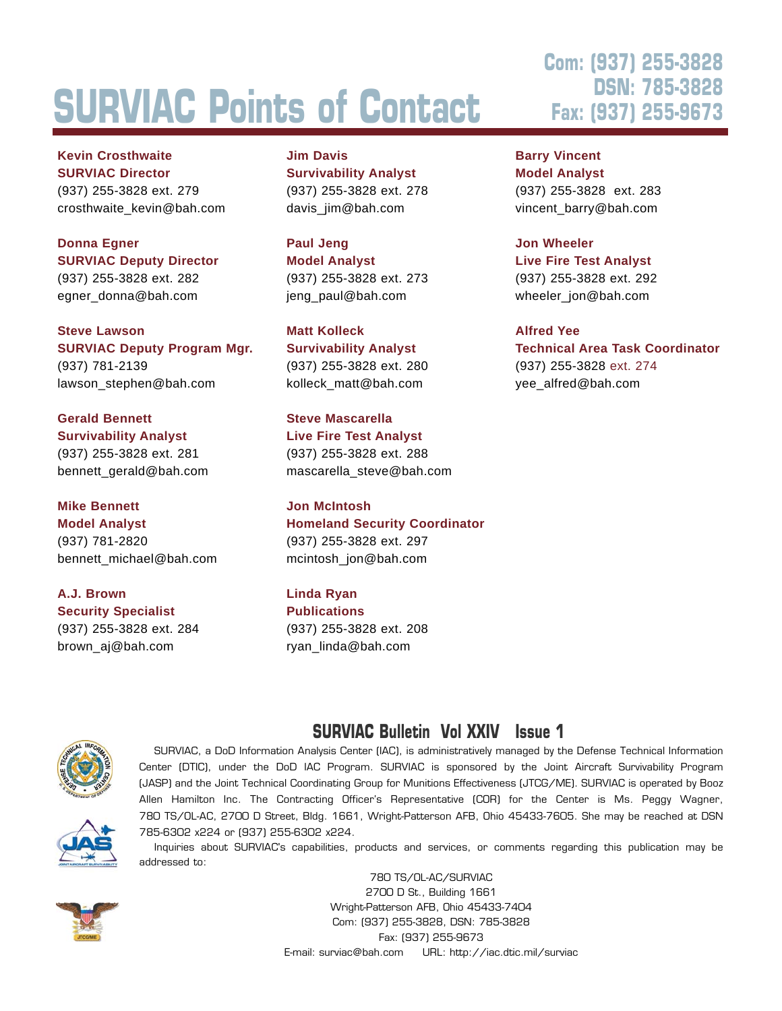# **SURVIAC Points of Contact**

**Kevin Crosthwaite SURVIAC Director**  (937) 255-3828 ext. 279 crosthwaite\_kevin@bah.com

### **Donna Egner SURVIAC Deputy Director**

(937) 255-3828 ext. 282 egner\_donna@bah.com

**Steve Lawson SURVIAC Deputy Program Mgr.**  (937) 781-2139 lawson\_stephen@bah.com

**Gerald Bennett Survivability Analyst** (937) 255-3828 ext. 281 bennett\_gerald@bah.com

#### **Mike Bennett**

**Model Analyst** (937) 781-2820 bennett\_michael@bah.com

**A.J. Brown Security Specialist** (937) 255-3828 ext. 284 brown\_aj@bah.com

**Jim Davis Survivability Analyst** (937) 255-3828 ext. 278 davis\_jim@bah.com

**Paul Jeng Model Analyst** (937) 255-3828 ext. 273 jeng\_paul@bah.com

**Matt Kolleck Survivability Analyst** (937) 255-3828 ext. 280 kolleck\_matt@bah.com

**Steve Mascarella Live Fire Test Analyst** (937) 255-3828 ext. 288 mascarella\_steve@bah.com

**Jon McIntosh Homeland Security Coordinator** (937) 255-3828 ext. 297 mcintosh\_jon@bah.com

**Linda Ryan Publications** (937) 255-3828 ext. 208 ryan\_linda@bah.com

### **Com: (937) 255-3828 DSN: 785-3828 Fax: (937) 255-9673**

**Barry Vincent Model Analyst** (937) 255-3828 ext. 283 vincent\_barry@bah.com

#### **Jon Wheeler**

**Live Fire Test Analyst** (937) 255-3828 ext. 292 wheeler\_jon@bah.com

**Alfred Yee**

**Technical Area Task Coordinator** (937) 255-3828 ext. 274 yee\_alfred@bah.com

### **SURVIAC Bulletin Vol XXIV Issue 1**



SURVIAC, a DoD Information Analysis Center (IAC), is administratively managed by the Defense Technical Information Center (DTIC), under the DoD IAC Program. SURVIAC is sponsored by the Joint Aircraft Survivability Program (JASP) and the Joint Technical Coordinating Group for Munitions Effectiveness (JTCG/ME). SURVIAC is operated by Booz Allen Hamilton Inc. The Contracting Officer's Representative (COR) for the Center is Ms. Peggy Wagner, 780 TS/OL-AC, 2700 D Street, Bldg. 1661, Wright-Patterson AFB, Ohio 45433-7605. She may be reached at DSN 785-6302 x224 or (937) 255-6302 x224.

Inquiries about SURVIAC's capabilities, products and services, or comments regarding this publication may be addressed to:



780 TS/OL-AC/SURVIAC 2700 D St., Building 1661 Wright-Patterson AFB, Ohio 45433-7404 Com: (937) 255-3828, DSN: 785-3828 Fax: (937) 255-9673 E-mail: surviac@bah.com URL: http://iac.dtic.mil/surviac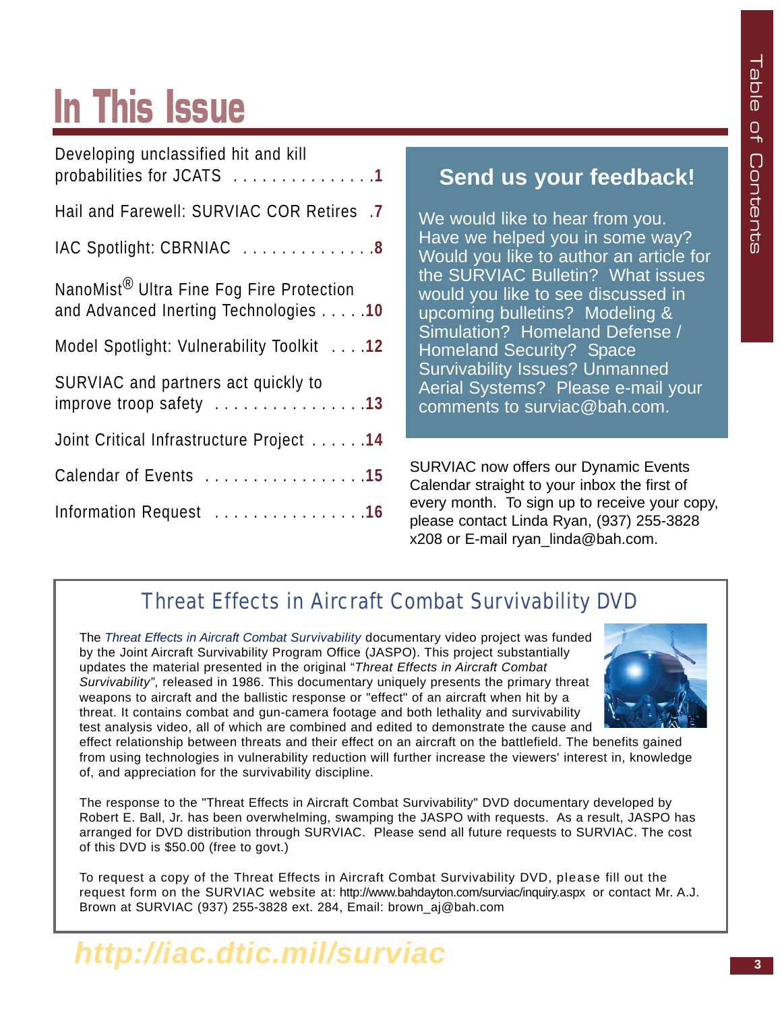## **In This Issue**

| Developing unclassified hit and kill                                                          |
|-----------------------------------------------------------------------------------------------|
| probabilities for JCATS 1                                                                     |
| Hail and Farewell: SURVIAC COR Retires .7                                                     |
| IAC Spotlight: CBRNIAC  8                                                                     |
| NanoMist <sup>®</sup> Ultra Fine Fog Fire Protection<br>and Advanced Inerting Technologies 10 |
| Model Spotlight: Vulnerability Toolkit 12                                                     |
| SURVIAC and partners act quickly to<br>improve troop safety 13                                |
| Joint Critical Infrastructure Project 14                                                      |
| Calendar of Events 15                                                                         |
| Information Request 16                                                                        |

### **Send us your feedback!**

We would like to hear from you. Have we helped you in some way? Would you like to author an article for the SURVIAC Bulletin? What issues would you like to see discussed in upcoming bulletins? Modeling & Simulation? Homeland Defense / Homeland Security? Space Survivability Issues? Unmanned Aerial Systems? Please e-mail your comments to surviac@bah.com.

SURVIAC now offers our Dynamic Events Calendar straight to your inbox the first of every month. To sign up to receive your copy, please contact Linda Ryan, (937) 255-3828 x208 or E-mail ryan\_linda@bah.com.

### Threat Effects in Aircraft Combat Survivability DVD

The *Threat Effects in Aircraft Combat Survivability* documentary video project was funded by the Joint Aircraft Survivability Program Office (JASPO). This project substantially updates the material presented in the original "*Threat Effects in Aircraft Combat Survivability"*, released in 1986. This documentary uniquely presents the primary threat weapons to aircraft and the ballistic response or "effect" of an aircraft when hit by a threat. It contains combat and gun-camera footage and both lethality and survivability test analysis video, all of which are combined and edited to demonstrate the cause and



effect relationship between threats and their effect on an aircraft on the battlefield. The benefits gained from using technologies in vulnerability reduction will further increase the viewers' interest in, knowledge of, and appreciation for the survivability discipline.

The response to the "Threat Effects in Aircraft Combat Survivability" DVD documentary developed by Robert E. Ball, Jr. has been overwhelming, swamping the JASPO with requests. As a result, JASPO has arranged for DVD distribution through SURVIAC. Please send all future requests to SURVIAC. The cost of this DVD is \$50.00 (free to govt.)

To request a copy of the Threat Effects in Aircraft Combat Survivability DVD, please fill out the request form on the SURVIAC website at: http://www.bahdayton.com/surviac/inquiry.aspx or contact Mr. A.J. Brown at SURVIAC (937) 255-3828 ext. 284, Email: brown\_aj@bah.com

### *http://iac.dtic.mil/surviac*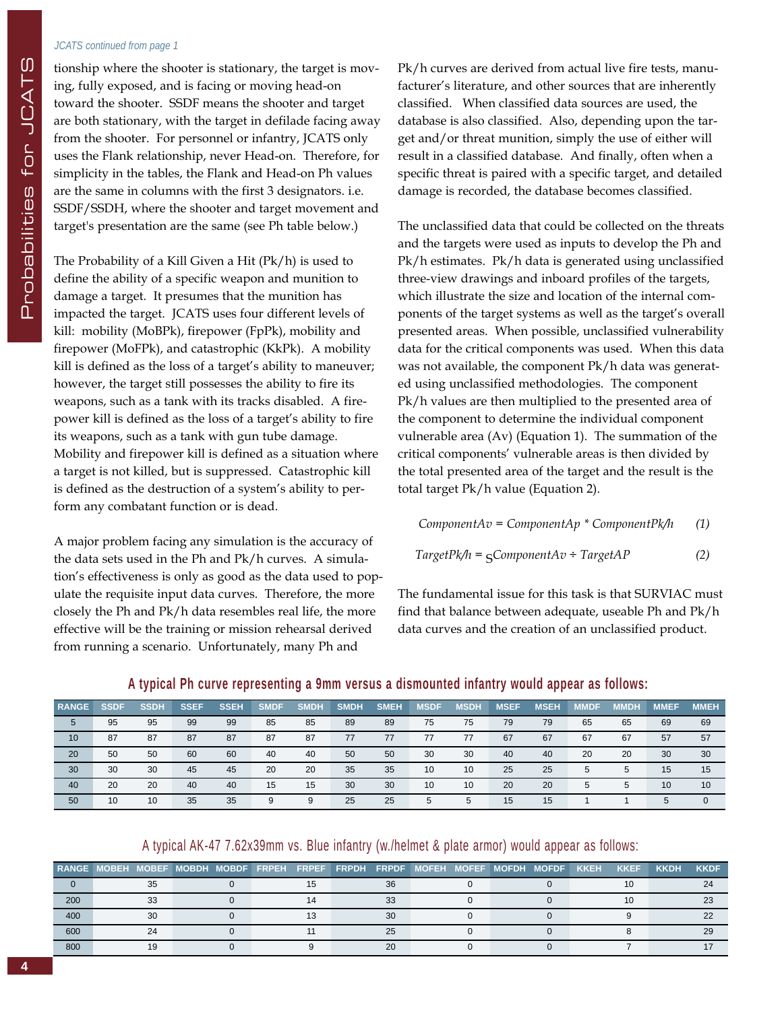#### *JCATS continued from page 1*

tionship where the shooter is stationary, the target is moving, fully exposed, and is facing or moving head-on toward the shooter. SSDF means the shooter and target are both stationary, with the target in defilade facing away from the shooter. For personnel or infantry, JCATS only uses the Flank relationship, never Head-on. Therefore, for simplicity in the tables, the Flank and Head-on Ph values are the same in columns with the first 3 designators. i.e. SSDF/SSDH, where the shooter and target movement and target's presentation are the same (see Ph table below.)

The Probability of a Kill Given a Hit (Pk/h) is used to define the ability of a specific weapon and munition to damage a target. It presumes that the munition has impacted the target. JCATS uses four different levels of kill: mobility (MoBPk), firepower (FpPk), mobility and firepower (MoFPk), and catastrophic (KkPk). A mobility kill is defined as the loss of a target's ability to maneuver; however, the target still possesses the ability to fire its weapons, such as a tank with its tracks disabled. A firepower kill is defined as the loss of a target's ability to fire its weapons, such as a tank with gun tube damage. Mobility and firepower kill is defined as a situation where a target is not killed, but is suppressed. Catastrophic kill is defined as the destruction of a system's ability to perform any combatant function or is dead.

A major problem facing any simulation is the accuracy of the data sets used in the Ph and Pk/h curves. A simulation's effectiveness is only as good as the data used to populate the requisite input data curves. Therefore, the more closely the Ph and Pk/h data resembles real life, the more effective will be the training or mission rehearsal derived from running a scenario. Unfortunately, many Ph and

Pk/h curves are derived from actual live fire tests, manufacturer's literature, and other sources that are inherently classified. When classified data sources are used, the database is also classified. Also, depending upon the target and/or threat munition, simply the use of either will result in a classified database. And finally, often when a specific threat is paired with a specific target, and detailed damage is recorded, the database becomes classified.

The unclassified data that could be collected on the threats and the targets were used as inputs to develop the Ph and Pk/h estimates. Pk/h data is generated using unclassified three-view drawings and inboard profiles of the targets, which illustrate the size and location of the internal components of the target systems as well as the target's overall presented areas. When possible, unclassified vulnerability data for the critical components was used. When this data was not available, the component Pk/h data was generated using unclassified methodologies. The component Pk/h values are then multiplied to the presented area of the component to determine the individual component vulnerable area (Av) (Equation 1). The summation of the critical components' vulnerable areas is then divided by the total presented area of the target and the result is the total target Pk/h value (Equation 2).

*ComponentAv = ComponentAp \* ComponentPk/h (1)*

$$
TargetPk/h = gComponentAv \div TargetAP
$$
 (2)

The fundamental issue for this task is that SURVIAC must find that balance between adequate, useable Ph and Pk/h data curves and the creation of an unclassified product.

| <b>RANGE</b> | <b>SSDF</b> | <b>SSDH</b> | <b>SSEF</b> | <b>SSEH</b> | <b>SMDF</b> | <b>SMDH</b> | <b>SMDH</b> | <b>SMEH</b> | <b>MSDF</b> | <b>MSDH</b> | <b>MSEF</b> | <b>MSEH</b> | <b>MMDF</b> | <b>MMDH</b> | <b>MMEF</b> | <b>MMEH</b> |
|--------------|-------------|-------------|-------------|-------------|-------------|-------------|-------------|-------------|-------------|-------------|-------------|-------------|-------------|-------------|-------------|-------------|
| 5            | 95          | 95          | 99          | 99          | 85          | 85          | 89          | 89          | 75          | 75          | 79          | 79          | 65          | 65          | 69          | 69          |
| 10           | 87          | 87          | 87          | 87          | 87          | 87          | 77          | 77          | 77          | 77          | 67          | 67          | 67          | 67          | 57          | 57          |
| 20           | 50          | 50          | 60          | 60          | 40          | 40          | 50          | 50          | 30          | 30          | 40          | 40          | 20          | 20          | 30          | 30          |
| 30           | 30          | 30          | 45          | 45          | 20          | 20          | 35          | 35          | 10          | 10          | 25          | 25          | 5           | 5           | 15          | 15          |
| 40           | 20          | 20          | 40          | 40          | 15          | 15          | 30          | 30          | 10          | 10          | 20          | 20          | 5           | 5           | 10          | 10          |
| 50           | 10          | 10          | 35          | 35          | 9           | 9           | 25          | 25          | 5           | 5           | 15          | 15          |             |             |             | $\Omega$    |

#### **A typical Ph curve representing a 9mm versus a dismounted infantry would appear as follows:**

#### A typical AK-47 7.62x39mm vs. Blue infantry (w./helmet & plate armor) would appear as follows:

|     | RANGE MOBEH MOBEF MOBDH MOBDF FRPEH FRPEF FRPDH FRPDF MOFEH MOFEF MOFDH MOFDF |    |  |  |    |  |  | <b>KKEH</b> | <b>KKEF</b> | <b>KKDH</b> | <b>KKDF</b> |
|-----|-------------------------------------------------------------------------------|----|--|--|----|--|--|-------------|-------------|-------------|-------------|
|     |                                                                               | 35 |  |  | 36 |  |  |             |             |             |             |
| 200 |                                                                               | ົາ |  |  | 33 |  |  |             |             |             |             |
| 400 |                                                                               | 30 |  |  | 30 |  |  |             |             |             |             |
| 600 |                                                                               |    |  |  | 25 |  |  |             |             |             |             |
| 800 |                                                                               |    |  |  | 20 |  |  |             |             |             |             |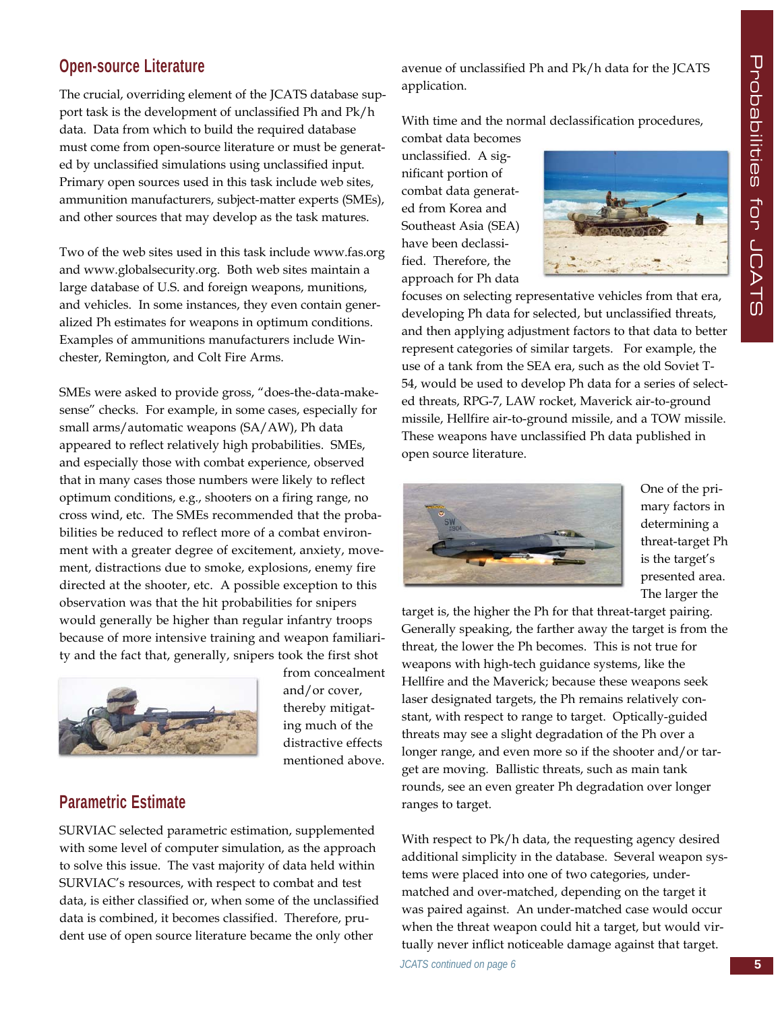### **Open-source Literature**

The crucial, overriding element of the JCATS database support task is the development of unclassified Ph and Pk/h data. Data from which to build the required database must come from open-source literature or must be generated by unclassified simulations using unclassified input. Primary open sources used in this task include web sites, ammunition manufacturers, subject-matter experts (SMEs), and other sources that may develop as the task matures.

Two of the web sites used in this task include www.fas.org and www.globalsecurity.org. Both web sites maintain a large database of U.S. and foreign weapons, munitions, and vehicles. In some instances, they even contain generalized Ph estimates for weapons in optimum conditions. Examples of ammunitions manufacturers include Winchester, Remington, and Colt Fire Arms.

SMEs were asked to provide gross, "does-the-data-makesense" checks. For example, in some cases, especially for small arms/automatic weapons (SA/AW), Ph data appeared to reflect relatively high probabilities. SMEs, and especially those with combat experience, observed that in many cases those numbers were likely to reflect optimum conditions, e.g., shooters on a firing range, no cross wind, etc. The SMEs recommended that the probabilities be reduced to reflect more of a combat environment with a greater degree of excitement, anxiety, movement, distractions due to smoke, explosions, enemy fire directed at the shooter, etc. A possible exception to this observation was that the hit probabilities for snipers would generally be higher than regular infantry troops because of more intensive training and weapon familiarity and the fact that, generally, snipers took the first shot



from concealment and/or cover, thereby mitigating much of the distractive effects mentioned above.

### **Parametric Estimate**

SURVIAC selected parametric estimation, supplemented with some level of computer simulation, as the approach to solve this issue. The vast majority of data held within SURVIAC's resources, with respect to combat and test data, is either classified or, when some of the unclassified data is combined, it becomes classified. Therefore, prudent use of open source literature became the only other

avenue of unclassified Ph and Pk/h data for the JCATS application.

With time and the normal declassification procedures,

combat data becomes unclassified. A significant portion of combat data generated from Korea and Southeast Asia (SEA) have been declassified. Therefore, the approach for Ph data



focuses on selecting representative vehicles from that era, developing Ph data for selected, but unclassified threats, and then applying adjustment factors to that data to better represent categories of similar targets. For example, the use of a tank from the SEA era, such as the old Soviet T-54, would be used to develop Ph data for a series of selected threats, RPG-7, LAW rocket, Maverick air-to-ground missile, Hellfire air-to-ground missile, and a TOW missile. These weapons have unclassified Ph data published in open source literature.



One of the primary factors in determining a threat-target Ph is the target's presented area. The larger the

target is, the higher the Ph for that threat-target pairing. Generally speaking, the farther away the target is from the threat, the lower the Ph becomes. This is not true for weapons with high-tech guidance systems, like the Hellfire and the Maverick; because these weapons seek laser designated targets, the Ph remains relatively constant, with respect to range to target. Optically-guided threats may see a slight degradation of the Ph over a longer range, and even more so if the shooter and/or target are moving. Ballistic threats, such as main tank rounds, see an even greater Ph degradation over longer ranges to target.

With respect to Pk/h data, the requesting agency desired additional simplicity in the database. Several weapon systems were placed into one of two categories, undermatched and over-matched, depending on the target it was paired against. An under-matched case would occur when the threat weapon could hit a target, but would virtually never inflict noticeable damage against that target. *JCATS continued on page 6*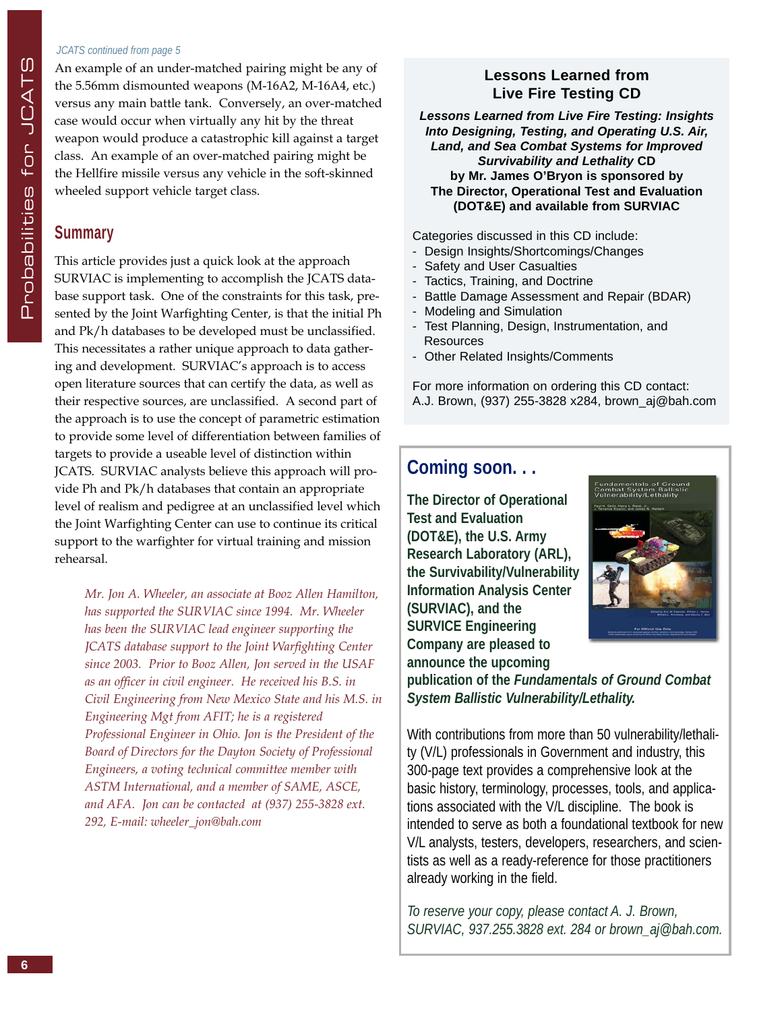#### *JCATS continued from page 5*

An example of an under-matched pairing might be any of the 5.56mm dismounted weapons (M-16A2, M-16A4, etc.) versus any main battle tank. Conversely, an over-matched case would occur when virtually any hit by the threat weapon would produce a catastrophic kill against a target class. An example of an over-matched pairing might be the Hellfire missile versus any vehicle in the soft-skinned wheeled support vehicle target class.

### **Summary**

This article provides just a quick look at the approach SURVIAC is implementing to accomplish the JCATS database support task. One of the constraints for this task, presented by the Joint Warfighting Center, is that the initial Ph and Pk/h databases to be developed must be unclassified. This necessitates a rather unique approach to data gathering and development. SURVIAC's approach is to access open literature sources that can certify the data, as well as their respective sources, are unclassified. A second part of the approach is to use the concept of parametric estimation to provide some level of differentiation between families of targets to provide a useable level of distinction within JCATS. SURVIAC analysts believe this approach will provide Ph and Pk/h databases that contain an appropriate level of realism and pedigree at an unclassified level which the Joint Warfighting Center can use to continue its critical support to the warfighter for virtual training and mission rehearsal.

*Mr. Jon A. Wheeler, an associate at Booz Allen Hamilton, has supported the SURVIAC since 1994. Mr. Wheeler has been the SURVIAC lead engineer supporting the JCATS database support to the Joint Warfighting Center since 2003. Prior to Booz Allen, Jon served in the USAF as an officer in civil engineer. He received his B.S. in Civil Engineering from New Mexico State and his M.S. in Engineering Mgt from AFIT; he is a registered Professional Engineer in Ohio. Jon is the President of the Board of Directors for the Dayton Society of Professional Engineers, a voting technical committee member with ASTM International, and a member of SAME, ASCE, and AFA. Jon can be contacted at (937) 255-3828 ext. 292, E-mail: wheeler\_jon@bah.com*

### **Lessons Learned from Live Fire Testing CD**

*Lessons Learned from Live Fire Testing: Insights Into Designing, Testing, and Operating U.S. Air, Land, and Sea Combat Systems for Improved Survivability and Lethality* **CD by Mr. James O'Bryon is sponsored by The Director, Operational Test and Evaluation (DOT&E) and available from SURVIAC**

Categories discussed in this CD include:

- Design Insights/Shortcomings/Changes
- Safety and User Casualties
- Tactics, Training, and Doctrine
- Battle Damage Assessment and Repair (BDAR)
- Modeling and Simulation
- Test Planning, Design, Instrumentation, and Resources
- Other Related Insights/Comments

For more information on ordering this CD contact: A.J. Brown, (937) 255-3828 x284, brown\_aj@bah.com

### **Coming soon. . .**

**The Director of Operational Test and Evaluation (DOT&E), the U.S. Army Research Laboratory (ARL), the Survivability/Vulnerability Information Analysis Center (SURVIAC), and the SURVICE Engineering Company are pleased to announce the upcoming** 



**publication of the** *Fundamentals of Ground Combat System Ballistic Vulnerability/Lethality.*

With contributions from more than 50 vulnerability/lethality (V/L) professionals in Government and industry, this 300-page text provides a comprehensive look at the basic history, terminology, processes, tools, and applications associated with the V/L discipline. The book is intended to serve as both a foundational textbook for new V/L analysts, testers, developers, researchers, and scientists as well as a ready-reference for those practitioners already working in the field.

*To reserve your copy, please contact A. J. Brown, SURVIAC, 937.255.3828 ext. 284 or brown\_aj@bah.com.*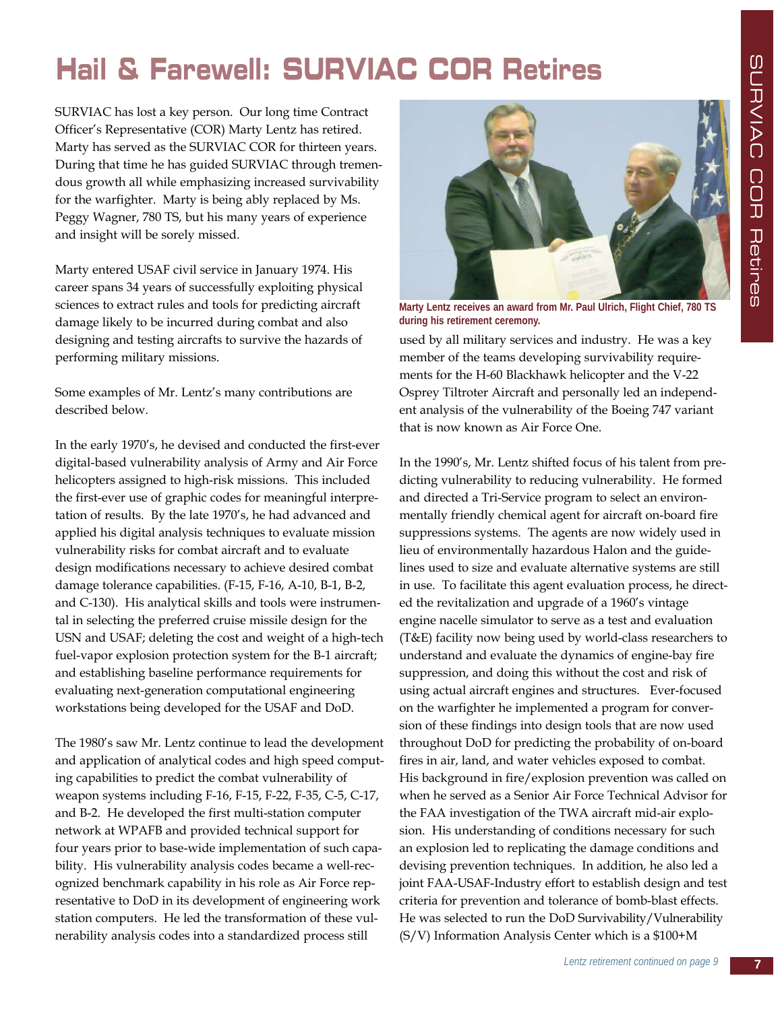### **Hail & Farewell: SURVIAC COR Retires**

SURVIAC has lost a key person. Our long time Contract Officer's Representative (COR) Marty Lentz has retired. Marty has served as the SURVIAC COR for thirteen years. During that time he has guided SURVIAC through tremendous growth all while emphasizing increased survivability for the warfighter. Marty is being ably replaced by Ms. Peggy Wagner, 780 TS, but his many years of experience and insight will be sorely missed.

Marty entered USAF civil service in January 1974. His career spans 34 years of successfully exploiting physical sciences to extract rules and tools for predicting aircraft damage likely to be incurred during combat and also designing and testing aircrafts to survive the hazards of performing military missions.

Some examples of Mr. Lentz's many contributions are described below.

In the early 1970's, he devised and conducted the first-ever digital-based vulnerability analysis of Army and Air Force helicopters assigned to high-risk missions. This included the first-ever use of graphic codes for meaningful interpretation of results. By the late 1970's, he had advanced and applied his digital analysis techniques to evaluate mission vulnerability risks for combat aircraft and to evaluate design modifications necessary to achieve desired combat damage tolerance capabilities. (F-15, F-16, A-10, B-1, B-2, and C-130). His analytical skills and tools were instrumental in selecting the preferred cruise missile design for the USN and USAF; deleting the cost and weight of a high-tech fuel-vapor explosion protection system for the B-1 aircraft; and establishing baseline performance requirements for evaluating next-generation computational engineering workstations being developed for the USAF and DoD.

The 1980's saw Mr. Lentz continue to lead the development and application of analytical codes and high speed computing capabilities to predict the combat vulnerability of weapon systems including F-16, F-15, F-22, F-35, C-5, C-17, and B-2. He developed the first multi-station computer network at WPAFB and provided technical support for four years prior to base-wide implementation of such capability. His vulnerability analysis codes became a well-recognized benchmark capability in his role as Air Force representative to DoD in its development of engineering work station computers. He led the transformation of these vulnerability analysis codes into a standardized process still



**Marty Lentz receives an award from Mr. Paul Ulrich, Flight Chief, 780 TS during his retirement ceremony.**

used by all military services and industry. He was a key member of the teams developing survivability requirements for the H-60 Blackhawk helicopter and the V-22 Osprey Tiltroter Aircraft and personally led an independent analysis of the vulnerability of the Boeing 747 variant that is now known as Air Force One.

In the 1990's, Mr. Lentz shifted focus of his talent from predicting vulnerability to reducing vulnerability. He formed and directed a Tri-Service program to select an environmentally friendly chemical agent for aircraft on-board fire suppressions systems. The agents are now widely used in lieu of environmentally hazardous Halon and the guidelines used to size and evaluate alternative systems are still in use. To facilitate this agent evaluation process, he directed the revitalization and upgrade of a 1960's vintage engine nacelle simulator to serve as a test and evaluation (T&E) facility now being used by world-class researchers to understand and evaluate the dynamics of engine-bay fire suppression, and doing this without the cost and risk of using actual aircraft engines and structures. Ever-focused on the warfighter he implemented a program for conversion of these findings into design tools that are now used throughout DoD for predicting the probability of on-board fires in air, land, and water vehicles exposed to combat. His background in fire/explosion prevention was called on when he served as a Senior Air Force Technical Advisor for the FAA investigation of the TWA aircraft mid-air explosion. His understanding of conditions necessary for such an explosion led to replicating the damage conditions and devising prevention techniques. In addition, he also led a joint FAA-USAF-Industry effort to establish design and test criteria for prevention and tolerance of bomb-blast effects. He was selected to run the DoD Survivability/Vulnerability (S/V) Information Analysis Center which is a \$100+M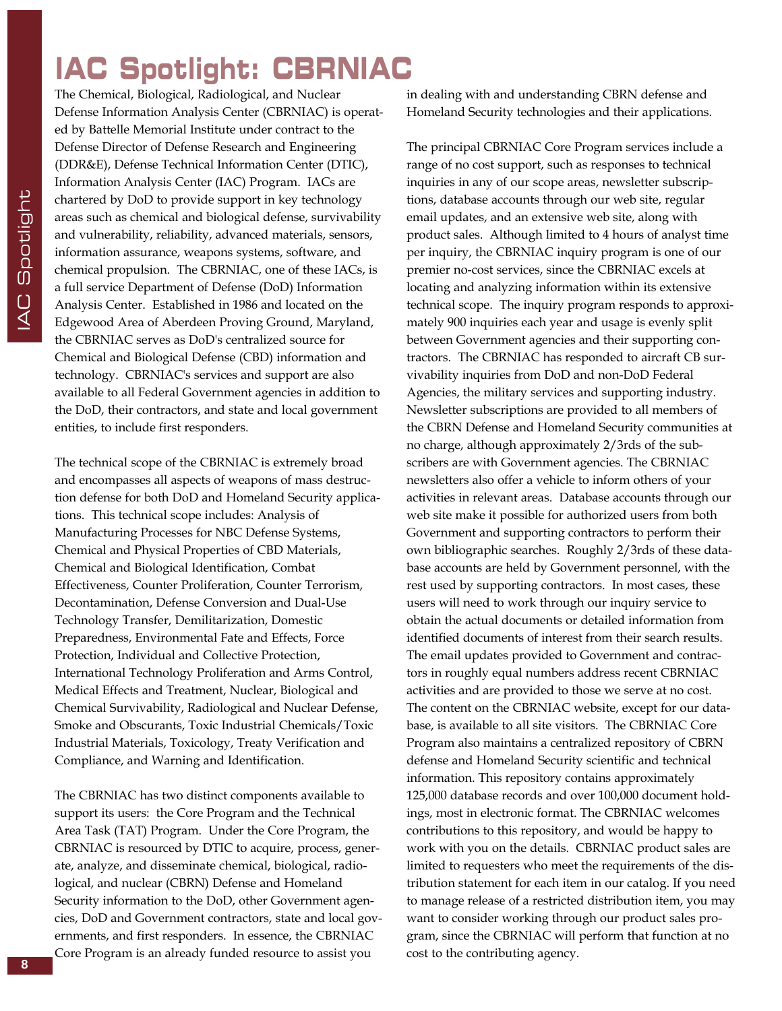### **IAC Spotlight: CBRNIAC**

The Chemical, Biological, Radiological, and Nuclear Defense Information Analysis Center (CBRNIAC) is operated by Battelle Memorial Institute under contract to the Defense Director of Defense Research and Engineering (DDR&E), Defense Technical Information Center (DTIC), Information Analysis Center (IAC) Program. IACs are chartered by DoD to provide support in key technology areas such as chemical and biological defense, survivability and vulnerability, reliability, advanced materials, sensors, information assurance, weapons systems, software, and chemical propulsion. The CBRNIAC, one of these IACs, is a full service Department of Defense (DoD) Information Analysis Center. Established in 1986 and located on the Edgewood Area of Aberdeen Proving Ground, Maryland, the CBRNIAC serves as DoD's centralized source for Chemical and Biological Defense (CBD) information and technology. CBRNIAC's services and support are also available to all Federal Government agencies in addition to the DoD, their contractors, and state and local government entities, to include first responders.

The technical scope of the CBRNIAC is extremely broad and encompasses all aspects of weapons of mass destruction defense for both DoD and Homeland Security applications. This technical scope includes: Analysis of Manufacturing Processes for NBC Defense Systems, Chemical and Physical Properties of CBD Materials, Chemical and Biological Identification, Combat Effectiveness, Counter Proliferation, Counter Terrorism, Decontamination, Defense Conversion and Dual-Use Technology Transfer, Demilitarization, Domestic Preparedness, Environmental Fate and Effects, Force Protection, Individual and Collective Protection, International Technology Proliferation and Arms Control, Medical Effects and Treatment, Nuclear, Biological and Chemical Survivability, Radiological and Nuclear Defense, Smoke and Obscurants, Toxic Industrial Chemicals/Toxic Industrial Materials, Toxicology, Treaty Verification and Compliance, and Warning and Identification.

The CBRNIAC has two distinct components available to support its users: the Core Program and the Technical Area Task (TAT) Program. Under the Core Program, the CBRNIAC is resourced by DTIC to acquire, process, generate, analyze, and disseminate chemical, biological, radiological, and nuclear (CBRN) Defense and Homeland Security information to the DoD, other Government agencies, DoD and Government contractors, state and local governments, and first responders. In essence, the CBRNIAC Core Program is an already funded resource to assist you

in dealing with and understanding CBRN defense and Homeland Security technologies and their applications.

The principal CBRNIAC Core Program services include a range of no cost support, such as responses to technical inquiries in any of our scope areas, newsletter subscriptions, database accounts through our web site, regular email updates, and an extensive web site, along with product sales. Although limited to 4 hours of analyst time per inquiry, the CBRNIAC inquiry program is one of our premier no-cost services, since the CBRNIAC excels at locating and analyzing information within its extensive technical scope. The inquiry program responds to approximately 900 inquiries each year and usage is evenly split between Government agencies and their supporting contractors. The CBRNIAC has responded to aircraft CB survivability inquiries from DoD and non-DoD Federal Agencies, the military services and supporting industry. Newsletter subscriptions are provided to all members of the CBRN Defense and Homeland Security communities at no charge, although approximately 2/3rds of the subscribers are with Government agencies. The CBRNIAC newsletters also offer a vehicle to inform others of your activities in relevant areas. Database accounts through our web site make it possible for authorized users from both Government and supporting contractors to perform their own bibliographic searches. Roughly 2/3rds of these database accounts are held by Government personnel, with the rest used by supporting contractors. In most cases, these users will need to work through our inquiry service to obtain the actual documents or detailed information from identified documents of interest from their search results. The email updates provided to Government and contractors in roughly equal numbers address recent CBRNIAC activities and are provided to those we serve at no cost. The content on the CBRNIAC website, except for our database, is available to all site visitors. The CBRNIAC Core Program also maintains a centralized repository of CBRN defense and Homeland Security scientific and technical information. This repository contains approximately 125,000 database records and over 100,000 document holdings, most in electronic format. The CBRNIAC welcomes contributions to this repository, and would be happy to work with you on the details. CBRNIAC product sales are limited to requesters who meet the requirements of the distribution statement for each item in our catalog. If you need to manage release of a restricted distribution item, you may want to consider working through our product sales program, since the CBRNIAC will perform that function at no cost to the contributing agency.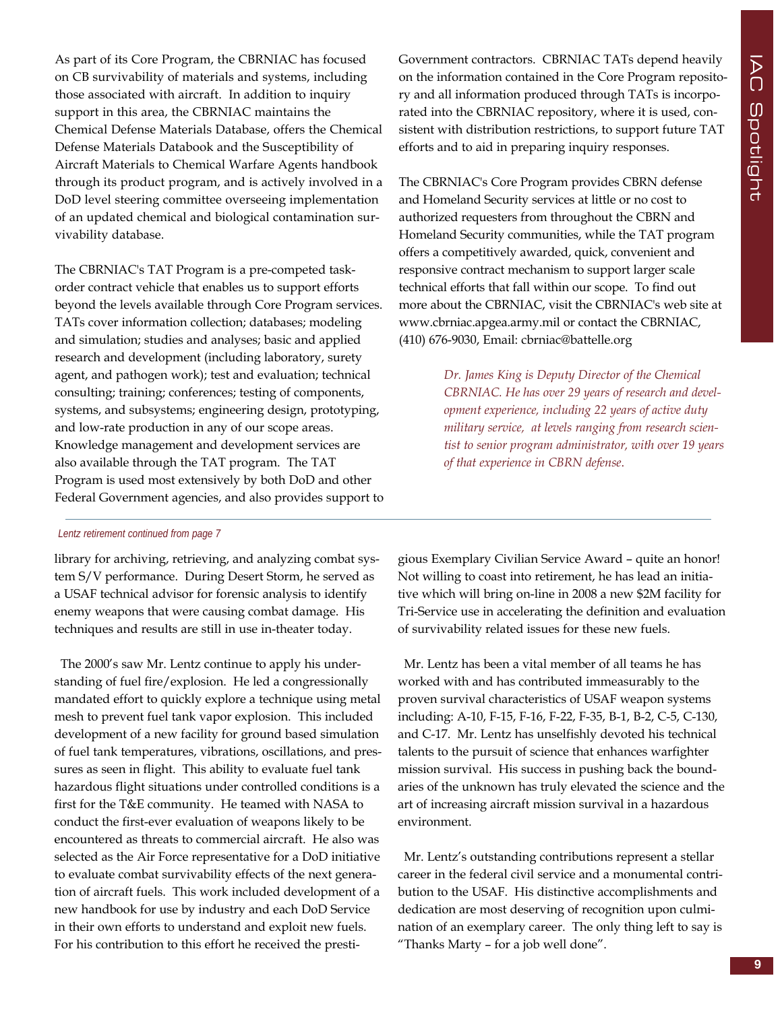As part of its Core Program, the CBRNIAC has focused on CB survivability of materials and systems, including those associated with aircraft. In addition to inquiry support in this area, the CBRNIAC maintains the Chemical Defense Materials Database, offers the Chemical Defense Materials Databook and the Susceptibility of Aircraft Materials to Chemical Warfare Agents handbook through its product program, and is actively involved in a DoD level steering committee overseeing implementation of an updated chemical and biological contamination survivability database.

The CBRNIAC's TAT Program is a pre-competed taskorder contract vehicle that enables us to support efforts beyond the levels available through Core Program services. TATs cover information collection; databases; modeling and simulation; studies and analyses; basic and applied research and development (including laboratory, surety agent, and pathogen work); test and evaluation; technical consulting; training; conferences; testing of components, systems, and subsystems; engineering design, prototyping, and low-rate production in any of our scope areas. Knowledge management and development services are also available through the TAT program. The TAT Program is used most extensively by both DoD and other Federal Government agencies, and also provides support to

#### *Lentz retirement continued from page 7*

library for archiving, retrieving, and analyzing combat system S/V performance. During Desert Storm, he served as a USAF technical advisor for forensic analysis to identify enemy weapons that were causing combat damage. His techniques and results are still in use in-theater today.

The 2000's saw Mr. Lentz continue to apply his understanding of fuel fire/explosion. He led a congressionally mandated effort to quickly explore a technique using metal mesh to prevent fuel tank vapor explosion. This included development of a new facility for ground based simulation of fuel tank temperatures, vibrations, oscillations, and pressures as seen in flight. This ability to evaluate fuel tank hazardous flight situations under controlled conditions is a first for the T&E community. He teamed with NASA to conduct the first-ever evaluation of weapons likely to be encountered as threats to commercial aircraft. He also was selected as the Air Force representative for a DoD initiative to evaluate combat survivability effects of the next generation of aircraft fuels. This work included development of a new handbook for use by industry and each DoD Service in their own efforts to understand and exploit new fuels. For his contribution to this effort he received the prestiGovernment contractors. CBRNIAC TATs depend heavily on the information contained in the Core Program repository and all information produced through TATs is incorporated into the CBRNIAC repository, where it is used, consistent with distribution restrictions, to support future TAT efforts and to aid in preparing inquiry responses.

The CBRNIAC's Core Program provides CBRN defense and Homeland Security services at little or no cost to authorized requesters from throughout the CBRN and Homeland Security communities, while the TAT program offers a competitively awarded, quick, convenient and responsive contract mechanism to support larger scale technical efforts that fall within our scope. To find out more about the CBRNIAC, visit the CBRNIAC's web site at www.cbrniac.apgea.army.mil or contact the CBRNIAC, (410) 676-9030, Email: cbrniac@battelle.org

> *Dr. James King is Deputy Director of the Chemical CBRNIAC. He has over 29 years of research and development experience, including 22 years of active duty military service, at levels ranging from research scientist to senior program administrator, with over 19 years of that experience in CBRN defense*.

gious Exemplary Civilian Service Award – quite an honor! Not willing to coast into retirement, he has lead an initiative which will bring on-line in 2008 a new \$2M facility for Tri-Service use in accelerating the definition and evaluation of survivability related issues for these new fuels.

Mr. Lentz has been a vital member of all teams he has worked with and has contributed immeasurably to the proven survival characteristics of USAF weapon systems including: A-10, F-15, F-16, F-22, F-35, B-1, B-2, C-5, C-130, and C-17. Mr. Lentz has unselfishly devoted his technical talents to the pursuit of science that enhances warfighter mission survival. His success in pushing back the boundaries of the unknown has truly elevated the science and the art of increasing aircraft mission survival in a hazardous environment.

Mr. Lentz's outstanding contributions represent a stellar career in the federal civil service and a monumental contribution to the USAF. His distinctive accomplishments and dedication are most deserving of recognition upon culmination of an exemplary career. The only thing left to say is "Thanks Marty – for a job well done".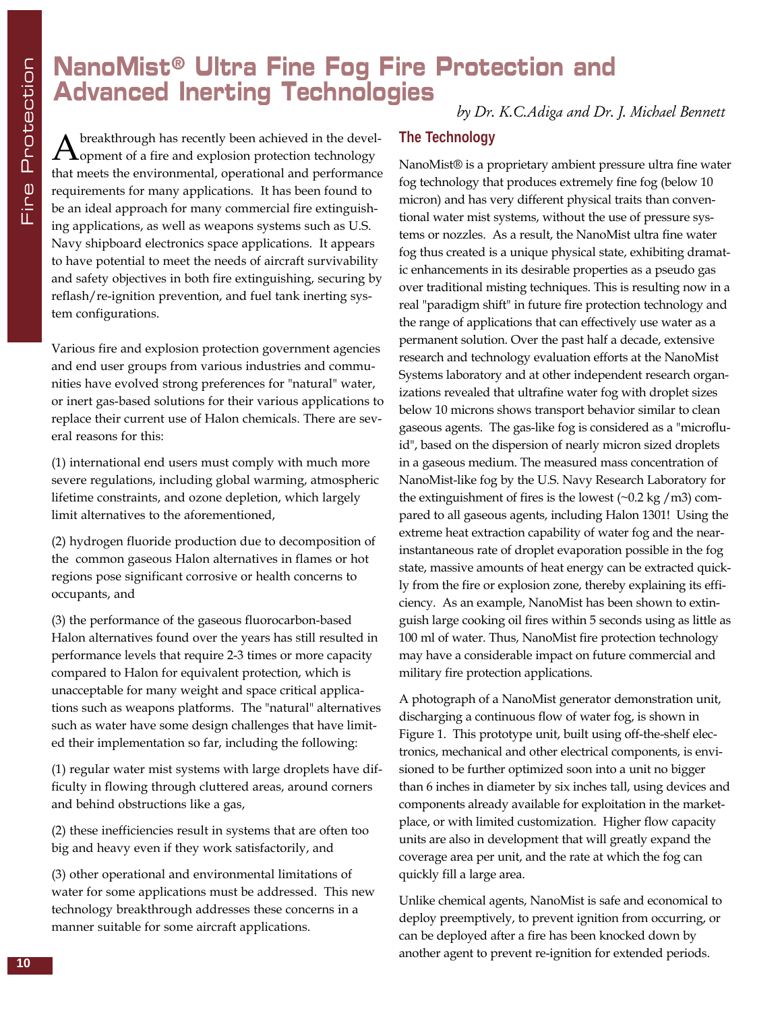### **NanoMist® Ultra Fine Fog Fire Protection and Advanced Inerting Technologies**

*by Dr. K.C.Adiga and Dr. J. Michael Bennett*

 $A$  breakthrough has recently been achieved in the devel-<br>Opment of a fire and explosion protection technology that meets the environmental, operational and performance requirements for many applications. It has been found to be an ideal approach for many commercial fire extinguishing applications, as well as weapons systems such as U.S. Navy shipboard electronics space applications. It appears to have potential to meet the needs of aircraft survivability and safety objectives in both fire extinguishing, securing by reflash/re-ignition prevention, and fuel tank inerting system configurations.

Various fire and explosion protection government agencies and end user groups from various industries and communities have evolved strong preferences for "natural" water, or inert gas-based solutions for their various applications to replace their current use of Halon chemicals. There are several reasons for this:

(1) international end users must comply with much more severe regulations, including global warming, atmospheric lifetime constraints, and ozone depletion, which largely limit alternatives to the aforementioned,

(2) hydrogen fluoride production due to decomposition of the common gaseous Halon alternatives in flames or hot regions pose significant corrosive or health concerns to occupants, and

(3) the performance of the gaseous fluorocarbon-based Halon alternatives found over the years has still resulted in performance levels that require 2-3 times or more capacity compared to Halon for equivalent protection, which is unacceptable for many weight and space critical applications such as weapons platforms. The "natural" alternatives such as water have some design challenges that have limited their implementation so far, including the following:

(1) regular water mist systems with large droplets have difficulty in flowing through cluttered areas, around corners and behind obstructions like a gas,

(2) these inefficiencies result in systems that are often too big and heavy even if they work satisfactorily, and

(3) other operational and environmental limitations of water for some applications must be addressed. This new technology breakthrough addresses these concerns in a manner suitable for some aircraft applications.

#### **The Technology**

NanoMist® is a proprietary ambient pressure ultra fine water fog technology that produces extremely fine fog (below 10 micron) and has very different physical traits than conventional water mist systems, without the use of pressure systems or nozzles. As a result, the NanoMist ultra fine water fog thus created is a unique physical state, exhibiting dramatic enhancements in its desirable properties as a pseudo gas over traditional misting techniques. This is resulting now in a real "paradigm shift" in future fire protection technology and the range of applications that can effectively use water as a permanent solution. Over the past half a decade, extensive research and technology evaluation efforts at the NanoMist Systems laboratory and at other independent research organizations revealed that ultrafine water fog with droplet sizes below 10 microns shows transport behavior similar to clean gaseous agents. The gas-like fog is considered as a "microfluid", based on the dispersion of nearly micron sized droplets in a gaseous medium. The measured mass concentration of NanoMist-like fog by the U.S. Navy Research Laboratory for the extinguishment of fires is the lowest  $(\sim 0.2 \text{ kg } / \text{m}^3)$  compared to all gaseous agents, including Halon 1301! Using the extreme heat extraction capability of water fog and the nearinstantaneous rate of droplet evaporation possible in the fog state, massive amounts of heat energy can be extracted quickly from the fire or explosion zone, thereby explaining its efficiency. As an example, NanoMist has been shown to extinguish large cooking oil fires within 5 seconds using as little as 100 ml of water. Thus, NanoMist fire protection technology may have a considerable impact on future commercial and military fire protection applications.

A photograph of a NanoMist generator demonstration unit, discharging a continuous flow of water fog, is shown in Figure 1. This prototype unit, built using off-the-shelf electronics, mechanical and other electrical components, is envisioned to be further optimized soon into a unit no bigger than 6 inches in diameter by six inches tall, using devices and components already available for exploitation in the marketplace, or with limited customization. Higher flow capacity units are also in development that will greatly expand the coverage area per unit, and the rate at which the fog can quickly fill a large area.

Unlike chemical agents, NanoMist is safe and economical to deploy preemptively, to prevent ignition from occurring, or can be deployed after a fire has been knocked down by another agent to prevent re-ignition for extended periods.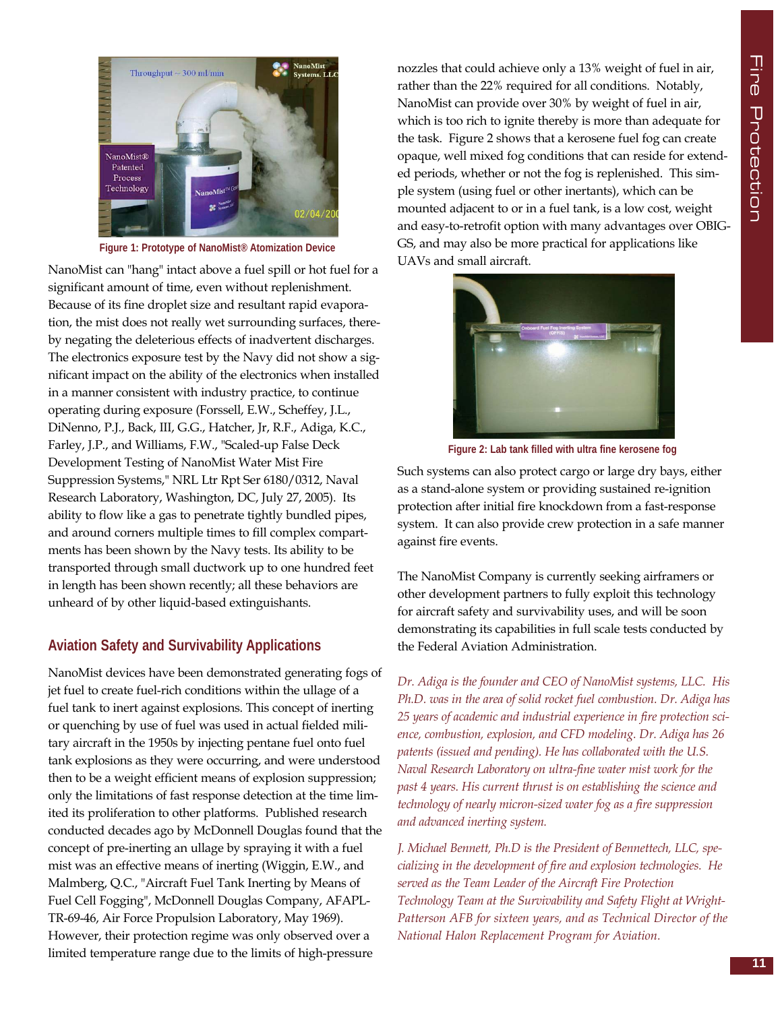

**Figure 1: Prototype of NanoMist® Atomization Device**

NanoMist can "hang" intact above a fuel spill or hot fuel for a significant amount of time, even without replenishment. Because of its fine droplet size and resultant rapid evaporation, the mist does not really wet surrounding surfaces, thereby negating the deleterious effects of inadvertent discharges. The electronics exposure test by the Navy did not show a significant impact on the ability of the electronics when installed in a manner consistent with industry practice, to continue operating during exposure (Forssell, E.W., Scheffey, J.L., DiNenno, P.J., Back, III, G.G., Hatcher, Jr, R.F., Adiga, K.C., Farley, J.P., and Williams, F.W., "Scaled-up False Deck Development Testing of NanoMist Water Mist Fire Suppression Systems," NRL Ltr Rpt Ser 6180/0312, Naval Research Laboratory, Washington, DC, July 27, 2005). Its ability to flow like a gas to penetrate tightly bundled pipes, and around corners multiple times to fill complex compartments has been shown by the Navy tests. Its ability to be transported through small ductwork up to one hundred feet in length has been shown recently; all these behaviors are unheard of by other liquid-based extinguishants.

#### **Aviation Safety and Survivability Applications**

NanoMist devices have been demonstrated generating fogs of jet fuel to create fuel-rich conditions within the ullage of a fuel tank to inert against explosions. This concept of inerting or quenching by use of fuel was used in actual fielded military aircraft in the 1950s by injecting pentane fuel onto fuel tank explosions as they were occurring, and were understood then to be a weight efficient means of explosion suppression; only the limitations of fast response detection at the time limited its proliferation to other platforms. Published research conducted decades ago by McDonnell Douglas found that the concept of pre-inerting an ullage by spraying it with a fuel mist was an effective means of inerting (Wiggin, E.W., and Malmberg, Q.C., "Aircraft Fuel Tank Inerting by Means of Fuel Cell Fogging", McDonnell Douglas Company, AFAPL-TR-69-46, Air Force Propulsion Laboratory, May 1969). However, their protection regime was only observed over a limited temperature range due to the limits of high-pressure

nozzles that could achieve only a 13% weight of fuel in air, rather than the 22% required for all conditions. Notably, NanoMist can provide over 30% by weight of fuel in air, which is too rich to ignite thereby is more than adequate for the task. Figure 2 shows that a kerosene fuel fog can create opaque, well mixed fog conditions that can reside for extended periods, whether or not the fog is replenished. This simple system (using fuel or other inertants), which can be mounted adjacent to or in a fuel tank, is a low cost, weight and easy-to-retrofit option with many advantages over OBIG-GS, and may also be more practical for applications like UAVs and small aircraft.



**Figure 2: Lab tank filled with ultra fine kerosene fog**

Such systems can also protect cargo or large dry bays, either as a stand-alone system or providing sustained re-ignition protection after initial fire knockdown from a fast-response system. It can also provide crew protection in a safe manner against fire events.

The NanoMist Company is currently seeking airframers or other development partners to fully exploit this technology for aircraft safety and survivability uses, and will be soon demonstrating its capabilities in full scale tests conducted by the Federal Aviation Administration.

*Dr. Adiga is the founder and CEO of NanoMist systems, LLC. His Ph.D. was in the area of solid rocket fuel combustion. Dr. Adiga has 25 years of academic and industrial experience in fire protection science, combustion, explosion, and CFD modeling. Dr. Adiga has 26 patents (issued and pending). He has collaborated with the U.S. Naval Research Laboratory on ultra-fine water mist work for the past 4 years. His current thrust is on establishing the science and technology of nearly micron-sized water fog as a fire suppression and advanced inerting system.*

*J. Michael Bennett, Ph.D is the President of Bennettech, LLC, specializing in the development of fire and explosion technologies. He served as the Team Leader of the Aircraft Fire Protection Technology Team at the Survivability and Safety Flight at Wright-Patterson AFB for sixteen years, and as Technical Director of the National Halon Replacement Program for Aviation.*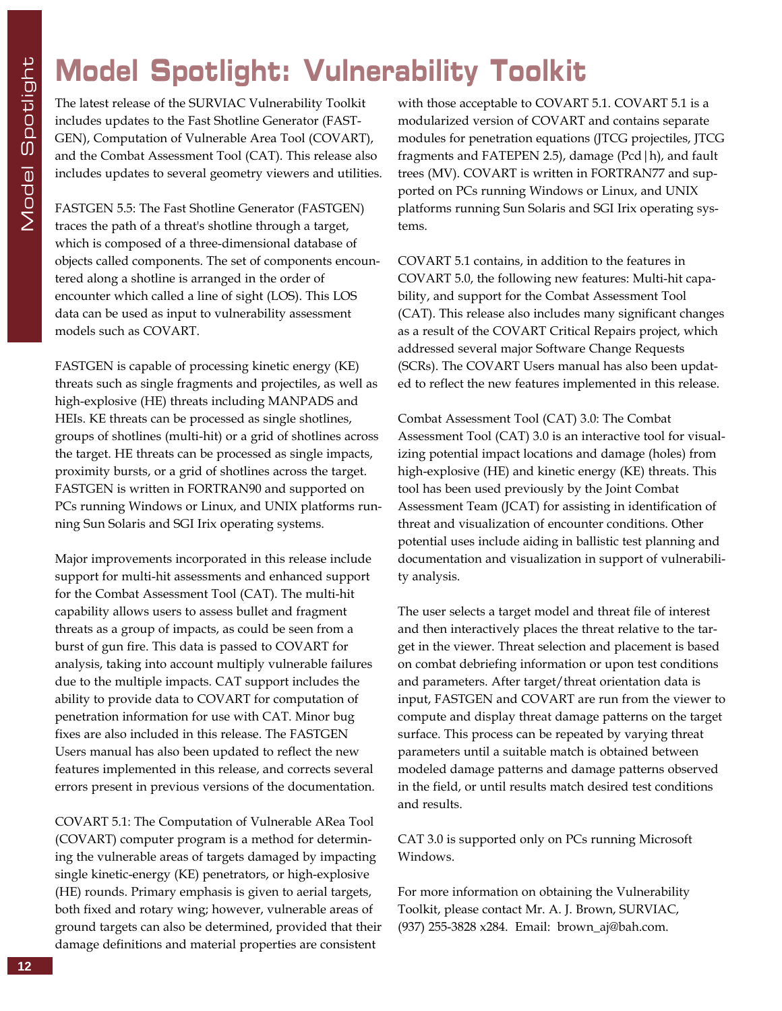### **Model Spotlight: Vulnerability Toolkit**

The latest release of the SURVIAC Vulnerability Toolkit includes updates to the Fast Shotline Generator (FAST-GEN), Computation of Vulnerable Area Tool (COVART), and the Combat Assessment Tool (CAT). This release also includes updates to several geometry viewers and utilities.

FASTGEN 5.5: The Fast Shotline Generator (FASTGEN) traces the path of a threat's shotline through a target, which is composed of a three-dimensional database of objects called components. The set of components encountered along a shotline is arranged in the order of encounter which called a line of sight (LOS). This LOS data can be used as input to vulnerability assessment models such as COVART.

FASTGEN is capable of processing kinetic energy (KE) threats such as single fragments and projectiles, as well as high-explosive (HE) threats including MANPADS and HEIs. KE threats can be processed as single shotlines, groups of shotlines (multi-hit) or a grid of shotlines across the target. HE threats can be processed as single impacts, proximity bursts, or a grid of shotlines across the target. FASTGEN is written in FORTRAN90 and supported on PCs running Windows or Linux, and UNIX platforms running Sun Solaris and SGI Irix operating systems.

Major improvements incorporated in this release include support for multi-hit assessments and enhanced support for the Combat Assessment Tool (CAT). The multi-hit capability allows users to assess bullet and fragment threats as a group of impacts, as could be seen from a burst of gun fire. This data is passed to COVART for analysis, taking into account multiply vulnerable failures due to the multiple impacts. CAT support includes the ability to provide data to COVART for computation of penetration information for use with CAT. Minor bug fixes are also included in this release. The FASTGEN Users manual has also been updated to reflect the new features implemented in this release, and corrects several errors present in previous versions of the documentation.

COVART 5.1: The Computation of Vulnerable ARea Tool (COVART) computer program is a method for determining the vulnerable areas of targets damaged by impacting single kinetic-energy (KE) penetrators, or high-explosive (HE) rounds. Primary emphasis is given to aerial targets, both fixed and rotary wing; however, vulnerable areas of ground targets can also be determined, provided that their damage definitions and material properties are consistent

with those acceptable to COVART 5.1. COVART 5.1 is a modularized version of COVART and contains separate modules for penetration equations (JTCG projectiles, JTCG fragments and FATEPEN 2.5), damage (Pcd|h), and fault trees (MV). COVART is written in FORTRAN77 and supported on PCs running Windows or Linux, and UNIX platforms running Sun Solaris and SGI Irix operating systems.

COVART 5.1 contains, in addition to the features in COVART 5.0, the following new features: Multi-hit capability, and support for the Combat Assessment Tool (CAT). This release also includes many significant changes as a result of the COVART Critical Repairs project, which addressed several major Software Change Requests (SCRs). The COVART Users manual has also been updated to reflect the new features implemented in this release.

Combat Assessment Tool (CAT) 3.0: The Combat Assessment Tool (CAT) 3.0 is an interactive tool for visualizing potential impact locations and damage (holes) from high-explosive (HE) and kinetic energy (KE) threats. This tool has been used previously by the Joint Combat Assessment Team (JCAT) for assisting in identification of threat and visualization of encounter conditions. Other potential uses include aiding in ballistic test planning and documentation and visualization in support of vulnerability analysis.

The user selects a target model and threat file of interest and then interactively places the threat relative to the target in the viewer. Threat selection and placement is based on combat debriefing information or upon test conditions and parameters. After target/threat orientation data is input, FASTGEN and COVART are run from the viewer to compute and display threat damage patterns on the target surface. This process can be repeated by varying threat parameters until a suitable match is obtained between modeled damage patterns and damage patterns observed in the field, or until results match desired test conditions and results.

CAT 3.0 is supported only on PCs running Microsoft Windows.

For more information on obtaining the Vulnerability Toolkit, please contact Mr. A. J. Brown, SURVIAC, (937) 255-3828 x284. Email: brown\_aj@bah.com.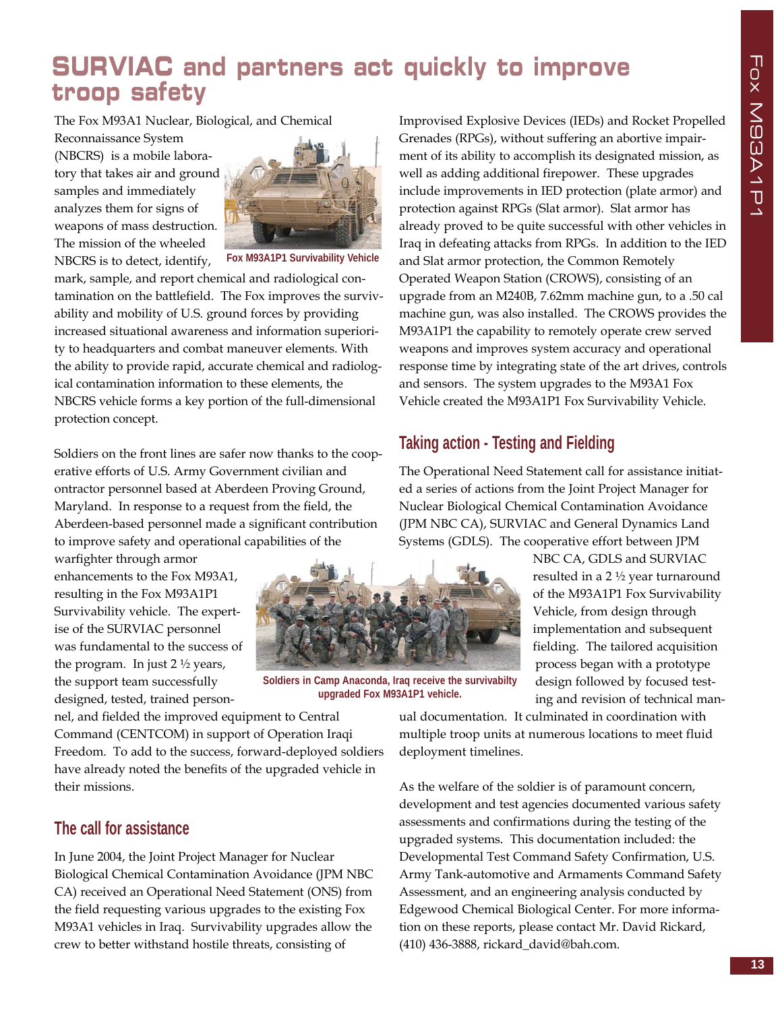### **SURVIAC and partners act quickly to improve troop safety**

The Fox M93A1 Nuclear, Biological, and Chemical

Reconnaissance System (NBCRS) is a mobile laboratory that takes air and ground samples and immediately analyzes them for signs of weapons of mass destruction. The mission of the wheeled NBCRS is to detect, identify,



**Fox M93A1P1 Survivability Vehicle**

mark, sample, and report chemical and radiological contamination on the battlefield. The Fox improves the survivability and mobility of U.S. ground forces by providing increased situational awareness and information superiority to headquarters and combat maneuver elements. With the ability to provide rapid, accurate chemical and radiological contamination information to these elements, the NBCRS vehicle forms a key portion of the full-dimensional protection concept.

Soldiers on the front lines are safer now thanks to the cooperative efforts of U.S. Army Government civilian and ontractor personnel based at Aberdeen Proving Ground, Maryland. In response to a request from the field, the Aberdeen-based personnel made a significant contribution to improve safety and operational capabilities of the

warfighter through armor enhancements to the Fox M93A1, resulting in the Fox M93A1P1 Survivability vehicle. The expertise of the SURVIAC personnel was fundamental to the success of the program. In just  $2 \frac{1}{2}$  years, the support team successfully designed, tested, trained person-



**Soldiers in Camp Anaconda, Iraq receive the survivabilty upgraded Fox M93A1P1 vehicle.**

nel, and fielded the improved equipment to Central Command (CENTCOM) in support of Operation Iraqi Freedom. To add to the success, forward-deployed soldiers have already noted the benefits of the upgraded vehicle in their missions.

### **The call for assistance**

In June 2004, the Joint Project Manager for Nuclear Biological Chemical Contamination Avoidance (JPM NBC CA) received an Operational Need Statement (ONS) from the field requesting various upgrades to the existing Fox M93A1 vehicles in Iraq. Survivability upgrades allow the crew to better withstand hostile threats, consisting of

Improvised Explosive Devices (IEDs) and Rocket Propelled Grenades (RPGs), without suffering an abortive impairment of its ability to accomplish its designated mission, as well as adding additional firepower. These upgrades include improvements in IED protection (plate armor) and protection against RPGs (Slat armor). Slat armor has already proved to be quite successful with other vehicles in Iraq in defeating attacks from RPGs. In addition to the IED and Slat armor protection, the Common Remotely Operated Weapon Station (CROWS), consisting of an upgrade from an M240B, 7.62mm machine gun, to a .50 cal machine gun, was also installed. The CROWS provides the M93A1P1 the capability to remotely operate crew served weapons and improves system accuracy and operational response time by integrating state of the art drives, controls and sensors. The system upgrades to the M93A1 Fox Vehicle created the M93A1P1 Fox Survivability Vehicle.

### **Taking action - Testing and Fielding**

The Operational Need Statement call for assistance initiated a series of actions from the Joint Project Manager for Nuclear Biological Chemical Contamination Avoidance (JPM NBC CA), SURVIAC and General Dynamics Land Systems (GDLS). The cooperative effort between JPM

> NBC CA, GDLS and SURVIAC resulted in a 2 ½ year turnaround of the M93A1P1 Fox Survivability Vehicle, from design through implementation and subsequent fielding. The tailored acquisition process began with a prototype design followed by focused testing and revision of technical man-

ual documentation. It culminated in coordination with multiple troop units at numerous locations to meet fluid deployment timelines.

As the welfare of the soldier is of paramount concern, development and test agencies documented various safety assessments and confirmations during the testing of the upgraded systems. This documentation included: the Developmental Test Command Safety Confirmation, U.S. Army Tank-automotive and Armaments Command Safety Assessment, and an engineering analysis conducted by Edgewood Chemical Biological Center. For more information on these reports, please contact Mr. David Rickard, (410) 436-3888, rickard\_david@bah.com.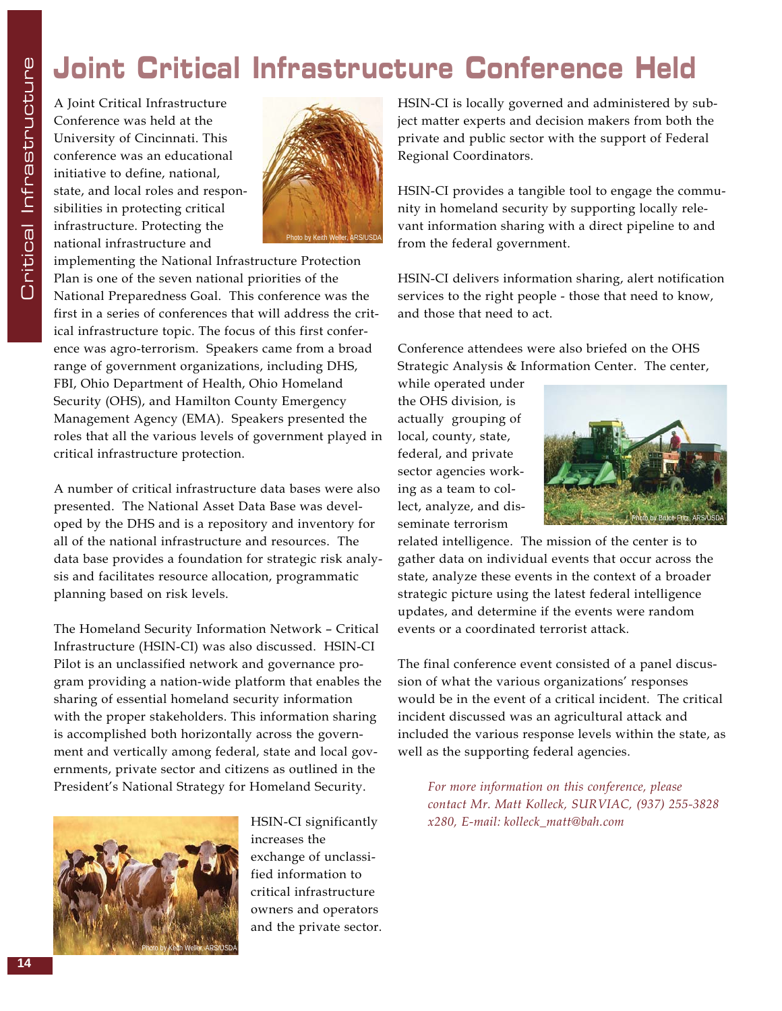### **Joint Critical Infrastructure Conference Held**

A Joint Critical Infrastructure Conference was held at the University of Cincinnati. This conference was an educational initiative to define, national, state, and local roles and responsibilities in protecting critical infrastructure. Protecting the national infrastructure and



implementing the National Infrastructure Protection Plan is one of the seven national priorities of the National Preparedness Goal. This conference was the first in a series of conferences that will address the critical infrastructure topic. The focus of this first conference was agro-terrorism. Speakers came from a broad range of government organizations, including DHS, FBI, Ohio Department of Health, Ohio Homeland Security (OHS), and Hamilton County Emergency Management Agency (EMA). Speakers presented the roles that all the various levels of government played in critical infrastructure protection.

A number of critical infrastructure data bases were also presented. The National Asset Data Base was developed by the DHS and is a repository and inventory for all of the national infrastructure and resources. The data base provides a foundation for strategic risk analysis and facilitates resource allocation, programmatic planning based on risk levels.

The Homeland Security Information Network – Critical Infrastructure (HSIN-CI) was also discussed. HSIN-CI Pilot is an unclassified network and governance program providing a nation-wide platform that enables the sharing of essential homeland security information with the proper stakeholders. This information sharing is accomplished both horizontally across the government and vertically among federal, state and local governments, private sector and citizens as outlined in the President's National Strategy for Homeland Security.



HSIN-CI significantly increases the exchange of unclassified information to critical infrastructure owners and operators and the private sector.

HSIN-CI is locally governed and administered by subject matter experts and decision makers from both the private and public sector with the support of Federal Regional Coordinators.

HSIN-CI provides a tangible tool to engage the community in homeland security by supporting locally relevant information sharing with a direct pipeline to and from the federal government.

HSIN-CI delivers information sharing, alert notification services to the right people - those that need to know, and those that need to act.

Conference attendees were also briefed on the OHS Strategic Analysis & Information Center. The center,

while operated under the OHS division, is actually grouping of local, county, state, federal, and private sector agencies working as a team to collect, analyze, and disseminate terrorism



related intelligence. The mission of the center is to gather data on individual events that occur across the state, analyze these events in the context of a broader strategic picture using the latest federal intelligence updates, and determine if the events were random events or a coordinated terrorist attack.

The final conference event consisted of a panel discussion of what the various organizations' responses would be in the event of a critical incident. The critical incident discussed was an agricultural attack and included the various response levels within the state, as well as the supporting federal agencies.

*For more information on this conference, please contact Mr. Matt Kolleck, SURVIAC, (937) 255-3828 x280, E-mail: kolleck\_matt@bah.com*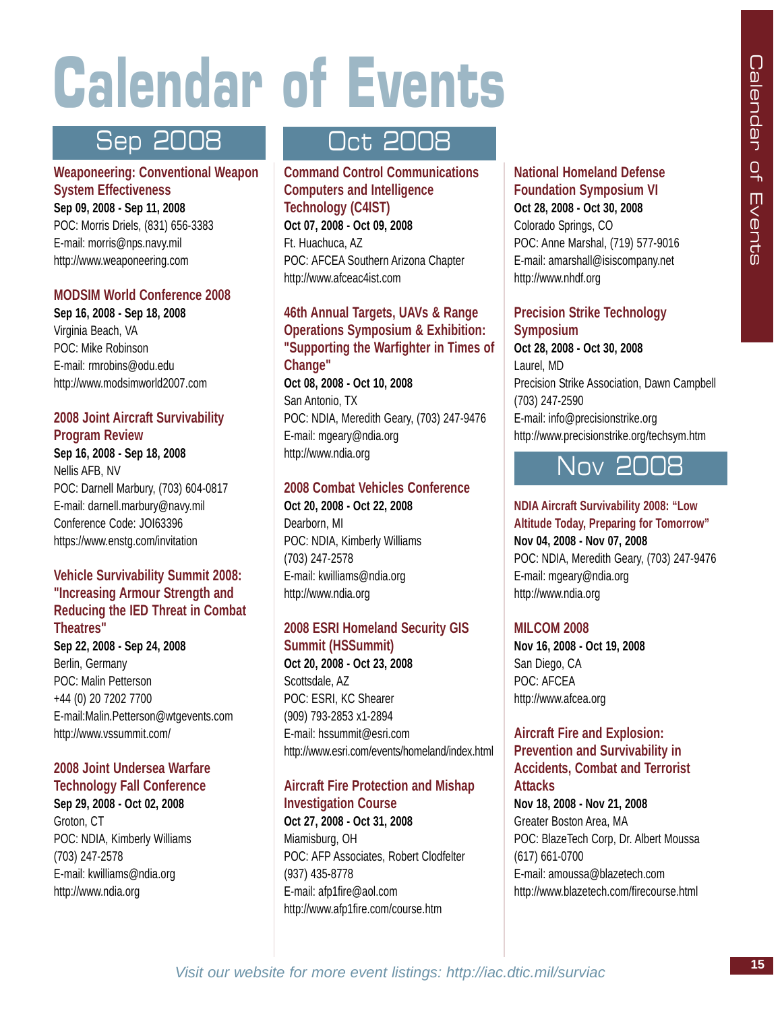# **Calendar of Events**

### **Weaponeering: Conventional Weapon System Effectiveness Sep 09, 2008 - Sep 11, 2008**  POC: Morris Driels, (831) 656-3383

E-mail: morris@nps.navy.mil http://www.weaponeering.com

### **MODSIM World Conference 2008**

**Sep 16, 2008 - Sep 18, 2008**  Virginia Beach, VA POC: Mike Robinson E-mail: rmrobins@odu.edu http://www.modsimworld2007.com

### **2008 Joint Aircraft Survivability Program Review**

**Sep 16, 2008 - Sep 18, 2008**  Nellis AFB, NV POC: Darnell Marbury, (703) 604-0817 E-mail: darnell.marbury@navy.mil Conference Code: JOI63396 https://www.enstg.com/invitation

#### **Vehicle Survivability Summit 2008: "Increasing Armour Strength and Reducing the IED Threat in Combat Theatres"**

**Sep 22, 2008 - Sep 24, 2008**  Berlin, Germany POC: Malin Petterson +44 (0) 20 7202 7700 E-mail:Malin.Petterson@wtgevents.com http://www.vssummit.com/

### **2008 Joint Undersea Warfare Technology Fall Conference**

**Sep 29, 2008 - Oct 02, 2008**  Groton, CT POC: NDIA, Kimberly Williams (703) 247-2578 E-mail: kwilliams@ndia.org http://www.ndia.org

### Sep 2008 Oct 2008

**Command Control Communications Computers and Intelligence Technology (C4IST) Oct 07, 2008 - Oct 09, 2008**  Ft. Huachuca, AZ POC: AFCEA Southern Arizona Chapter http://www.afceac4ist.com

### **46th Annual Targets, UAVs & Range Operations Symposium & Exhibition: "Supporting the Warfighter in Times of Change" Oct 08, 2008 - Oct 10, 2008**

San Antonio, TX POC: NDIA, Meredith Geary, (703) 247-9476 E-mail: mgeary@ndia.org http://www.ndia.org

### **2008 Combat Vehicles Conference**

**Oct 20, 2008 - Oct 22, 2008** Dearborn, MI POC: NDIA, Kimberly Williams (703) 247-2578 E-mail: kwilliams@ndia.org http://www.ndia.org

### **2008 ESRI Homeland Security GIS Summit (HSSummit)**

**Oct 20, 2008 - Oct 23, 2008**  Scottsdale, AZ POC: ESRI, KC Shearer (909) 793-2853 x1-2894 E-mail: hssummit@esri.com http://www.esri.com/events/homeland/index.html

### **Aircraft Fire Protection and Mishap Investigation Course**

**Oct 27, 2008 - Oct 31, 2008**  Miamisburg, OH POC: AFP Associates, Robert Clodfelter (937) 435-8778 E-mail: afp1fire@aol.com http://www.afp1fire.com/course.htm

#### **National Homeland Defense Foundation Symposium VI Oct 28, 2008 - Oct 30, 2008**

Colorado Springs, CO POC: Anne Marshal, (719) 577-9016 E-mail: amarshall@isiscompany.net http://www.nhdf.org

### **Precision Strike Technology Symposium**

**Oct 28, 2008 - Oct 30, 2008**  Laurel, MD Precision Strike Association, Dawn Campbell (703) 247-2590 E-mail: info@precisionstrike.org http://www.precisionstrike.org/techsym.htm

### Nov 2008

#### **NDIA Aircraft Survivability 2008: "Low**

**Altitude Today, Preparing for Tomorrow" Nov 04, 2008 - Nov 07, 2008**  POC: NDIA, Meredith Geary, (703) 247-9476 E-mail: mgeary@ndia.org http://www.ndia.org

### **MILCOM 2008**

**Nov 16, 2008 - Oct 19, 2008**  San Diego, CA POC: AFCEA http://www.afcea.org

#### **Aircraft Fire and Explosion: Prevention and Survivability in Accidents, Combat and Terrorist**

**Attacks Nov 18, 2008 - Nov 21, 2008**  Greater Boston Area, MA POC: BlazeTech Corp, Dr. Albert Moussa (617) 661-0700 E-mail: amoussa@blazetech.com http://www.blazetech.com/firecourse.html